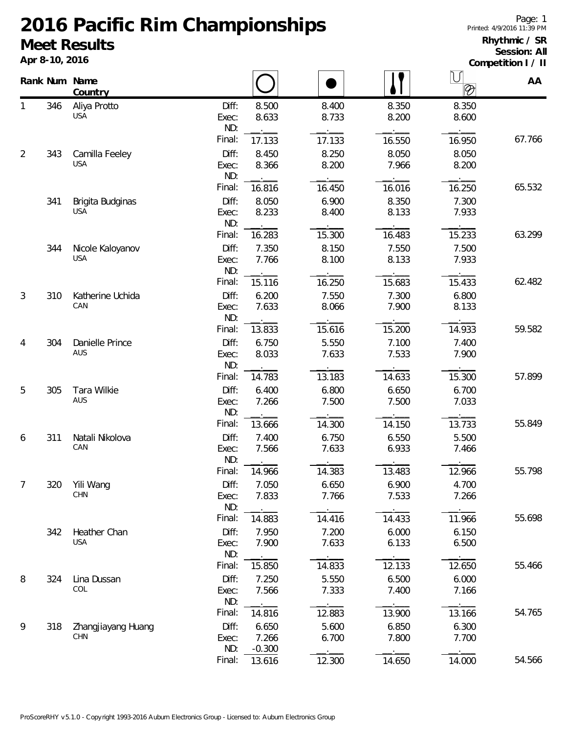## **2016 Pacific Rim Championships Meet Results**

**Apr 8-10, 2016**

## **Rhythmic / SR Session: All**

**Competition I / II**

|                |     | Rank Num Name<br>Country         |                       |                            |                |                | IJ<br>$\overline{\mathscr{D}}$     | AA     |
|----------------|-----|----------------------------------|-----------------------|----------------------------|----------------|----------------|------------------------------------|--------|
| 1              | 346 | Aliya Protto<br><b>USA</b>       | Diff:<br>Exec:<br>ND: | 8.500<br>8.633             | 8.400<br>8.733 | 8.350<br>8.200 | 8.350<br>8.600                     |        |
|                |     |                                  | Final:                | 17.133                     | 17.133         | 16.550         | $\overline{\phantom{0}}$<br>16.950 | 67.766 |
| $\overline{2}$ | 343 | Camilla Feeley<br><b>USA</b>     | Diff:<br>Exec:<br>ND: | 8.450<br>8.366             | 8.250<br>8.200 | 8.050<br>7.966 | 8.050<br>8.200                     |        |
|                |     |                                  | Final:                | 16.816                     | 16.450         | 16.016         | 16.250                             | 65.532 |
|                | 341 | Brigita Budginas<br><b>USA</b>   | Diff:<br>Exec:<br>ND: | 8.050<br>8.233             | 6.900<br>8.400 | 8.350<br>8.133 | 7.300<br>7.933                     |        |
|                |     |                                  | Final:                | 16.283                     | 15.300         | 16.483         | 15.233                             | 63.299 |
|                | 344 | Nicole Kaloyanov<br><b>USA</b>   | Diff:<br>Exec:<br>ND: | 7.350<br>7.766             | 8.150<br>8.100 | 7.550<br>8.133 | 7.500<br>7.933                     |        |
|                |     |                                  | Final:                | 15.116                     | 16.250         | 15.683         | 15.433                             | 62.482 |
| 3              | 310 | Katherine Uchida<br>CAN          | Diff:<br>Exec:<br>ND: | 6.200<br>7.633             | 7.550<br>8.066 | 7.300<br>7.900 | 6.800<br>8.133                     |        |
|                |     |                                  | Final:                | 13.833                     | 15.616         | 15.200         | 14.933                             | 59.582 |
| $\overline{4}$ | 304 | Danielle Prince<br>AUS           | Diff:<br>Exec:<br>ND: | 6.750<br>8.033             | 5.550<br>7.633 | 7.100<br>7.533 | 7.400<br>7.900                     |        |
|                |     |                                  | Final:                | 14.783                     | 13.183         | 14.633         | 15.300                             | 57.899 |
| 5              | 305 | Tara Wilkie<br>AUS               | Diff:<br>Exec:<br>ND: | 6.400<br>7.266             | 6.800<br>7.500 | 6.650<br>7.500 | 6.700<br>7.033                     |        |
|                |     |                                  | Final:                | 13.666                     | 14.300         | 14.150         | 13.733                             | 55.849 |
| 6              | 311 | Natali Nikolova<br>CAN           | Diff:<br>Exec:<br>ND: | 7.400<br>7.566             | 6.750<br>7.633 | 6.550<br>6.933 | 5.500<br>7.466                     |        |
|                |     |                                  | Final:                | 14.966                     | 14.383         | 13.483         | 12.966                             | 55.798 |
| $\overline{7}$ | 320 | Yili Wang<br><b>CHN</b>          | Diff:<br>Exec:<br>ND: | 7.050<br>7.833             | 6.650<br>7.766 | 6.900<br>7.533 | 4.700<br>7.266                     |        |
|                |     |                                  | Final:                | 14.883                     | 14.416         | 14.433         | 11.966                             | 55.698 |
|                | 342 | Heather Chan<br><b>USA</b>       | Diff:<br>Exec:<br>ND: | 7.950<br>7.900             | 7.200<br>7.633 | 6.000<br>6.133 | 6.150<br>6.500                     |        |
|                |     |                                  | Final:                | 15.850                     | 14.833         | 12.133         | 12.650                             | 55.466 |
| 8              | 324 | Lina Dussan<br>COL               | Diff:<br>Exec:<br>ND: | 7.250<br>7.566             | 5.550<br>7.333 | 6.500<br>7.400 | 6.000<br>7.166                     |        |
|                |     |                                  | Final:                | 14.816                     | 12.883         | 13.900         | 13.166                             | 54.765 |
| 9              | 318 | Zhangjiayang Huang<br><b>CHN</b> | Diff:<br>Exec:<br>ND: | 6.650<br>7.266<br>$-0.300$ | 5.600<br>6.700 | 6.850<br>7.800 | 6.300<br>7.700                     |        |
|                |     |                                  | Final:                | 13.616                     | 12.300         | 14.650         | 14.000                             | 54.566 |